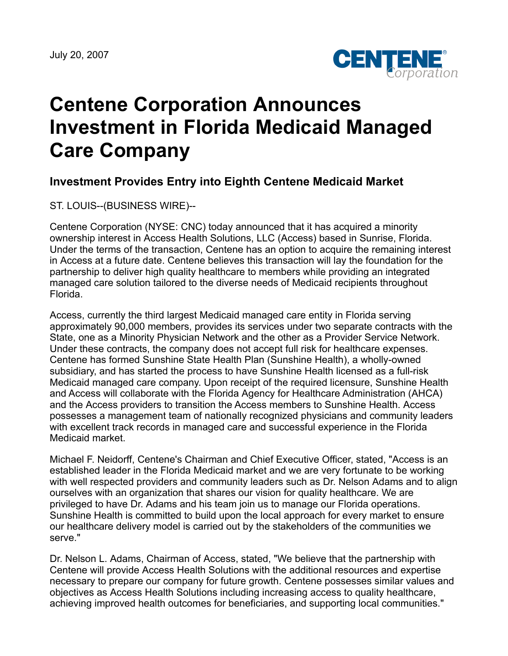

## **Centene Corporation Announces Investment in Florida Medicaid Managed Care Company**

## **Investment Provides Entry into Eighth Centene Medicaid Market**

ST. LOUIS--(BUSINESS WIRE)--

Centene Corporation (NYSE: CNC) today announced that it has acquired a minority ownership interest in Access Health Solutions, LLC (Access) based in Sunrise, Florida. Under the terms of the transaction, Centene has an option to acquire the remaining interest in Access at a future date. Centene believes this transaction will lay the foundation for the partnership to deliver high quality healthcare to members while providing an integrated managed care solution tailored to the diverse needs of Medicaid recipients throughout Florida.

Access, currently the third largest Medicaid managed care entity in Florida serving approximately 90,000 members, provides its services under two separate contracts with the State, one as a Minority Physician Network and the other as a Provider Service Network. Under these contracts, the company does not accept full risk for healthcare expenses. Centene has formed Sunshine State Health Plan (Sunshine Health), a wholly-owned subsidiary, and has started the process to have Sunshine Health licensed as a full-risk Medicaid managed care company. Upon receipt of the required licensure, Sunshine Health and Access will collaborate with the Florida Agency for Healthcare Administration (AHCA) and the Access providers to transition the Access members to Sunshine Health. Access possesses a management team of nationally recognized physicians and community leaders with excellent track records in managed care and successful experience in the Florida Medicaid market.

Michael F. Neidorff, Centene's Chairman and Chief Executive Officer, stated, "Access is an established leader in the Florida Medicaid market and we are very fortunate to be working with well respected providers and community leaders such as Dr. Nelson Adams and to align ourselves with an organization that shares our vision for quality healthcare. We are privileged to have Dr. Adams and his team join us to manage our Florida operations. Sunshine Health is committed to build upon the local approach for every market to ensure our healthcare delivery model is carried out by the stakeholders of the communities we serve."

Dr. Nelson L. Adams, Chairman of Access, stated, "We believe that the partnership with Centene will provide Access Health Solutions with the additional resources and expertise necessary to prepare our company for future growth. Centene possesses similar values and objectives as Access Health Solutions including increasing access to quality healthcare, achieving improved health outcomes for beneficiaries, and supporting local communities."